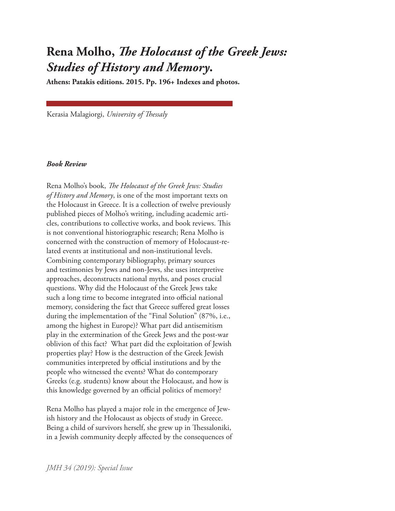## **Rena Molho,** *The Holocaust of the Greek Jews: Studies of History and Memory***. Athens: Patakis editions. 2015. Pp. 196+ Indexes and photos.**

Kerasia Malagiorgi, *University of Thessaly*

## *Book Review*

Rena Molho's book, *The Holocaust of the Greek Jews: Studies of History and Memory*, is one of the most important texts on the Holocaust in Greece. It is a collection of twelve previously published pieces of Molho's writing, including academic articles, contributions to collective works, and book reviews. This is not conventional historiographic research; Rena Molho is concerned with the construction of memory of Holocaust-related events at institutional and non-institutional levels. Combining contemporary bibliography, primary sources and testimonies by Jews and non-Jews, she uses interpretive approaches, deconstructs national myths, and poses crucial questions. Why did the Holocaust of the Greek Jews take such a long time to become integrated into official national memory, considering the fact that Greece suffered great losses during the implementation of the "Final Solution" (87%, i.e., among the highest in Europe)? What part did antisemitism play in the extermination of the Greek Jews and the post-war oblivion of this fact? What part did the exploitation of Jewish properties play? How is the destruction of the Greek Jewish communities interpreted by official institutions and by the people who witnessed the events? What do contemporary Greeks (e.g. students) know about the Holocaust, and how is this knowledge governed by an official politics of memory?

Rena Molho has played a major role in the emergence of Jewish history and the Holocaust as objects of study in Greece. Being a child of survivors herself, she grew up in Thessaloniki, in a Jewish community deeply affected by the consequences of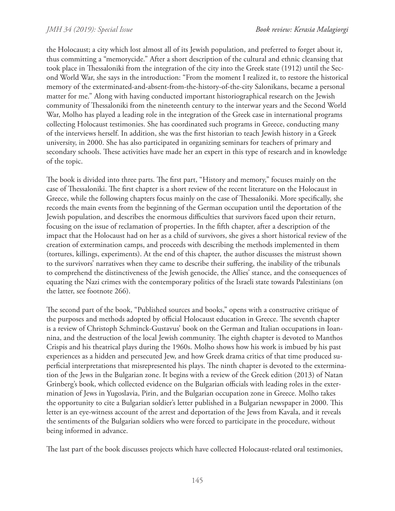the Holocaust; a city which lost almost all of its Jewish population, and preferred to forget about it, thus committing a "memorycide." After a short description of the cultural and ethnic cleansing that took place in Thessaloniki from the integration of the city into the Greek state (1912) until the Second World War, she says in the introduction: "From the moment I realized it, to restore the historical memory of the exterminated-and-absent-from-the-history-of-the-city Salonikans, became a personal matter for me." Along with having conducted important historiographical research on the Jewish community of Thessaloniki from the nineteenth century to the interwar years and the Second World War, Molho has played a leading role in the integration of the Greek case in international programs collecting Holocaust testimonies. She has coordinated such programs in Greece, conducting many of the interviews herself. In addition, she was the first historian to teach Jewish history in a Greek university, in 2000. She has also participated in organizing seminars for teachers of primary and secondary schools. These activities have made her an expert in this type of research and in knowledge of the topic.

The book is divided into three parts. The first part, "History and memory," focuses mainly on the case of Thessaloniki. The first chapter is a short review of the recent literature on the Holocaust in Greece, while the following chapters focus mainly on the case of Thessaloniki. More specifically, she records the main events from the beginning of the German occupation until the deportation of the Jewish population, and describes the enormous difficulties that survivors faced upon their return, focusing on the issue of reclamation of properties. In the fifth chapter, after a description of the impact that the Holocaust had on her as a child of survivors, she gives a short historical review of the creation of extermination camps, and proceeds with describing the methods implemented in them (tortures, killings, experiments). At the end of this chapter, the author discusses the mistrust shown to the survivors' narratives when they came to describe their suffering, the inability of the tribunals to comprehend the distinctiveness of the Jewish genocide, the Allies' stance, and the consequences of equating the Nazi crimes with the contemporary politics of the Israeli state towards Palestinians (on the latter, see footnote 266).

The second part of the book, "Published sources and books," opens with a constructive critique of the purposes and methods adopted by official Holocaust education in Greece. The seventh chapter is a review of Christoph Schminck-Gustavus' book on the German and Italian occupations in Ioannina, and the destruction of the local Jewish community. The eighth chapter is devoted to Manthos Crispis and his theatrical plays during the 1960s. Molho shows how his work is imbued by his past experiences as a hidden and persecuted Jew, and how Greek drama critics of that time produced superficial interpretations that misrepresented his plays. The ninth chapter is devoted to the extermination of the Jews in the Bulgarian zone. It begins with a review of the Greek edition (2013) of Natan Grinberg's book, which collected evidence on the Bulgarian officials with leading roles in the extermination of Jews in Yugoslavia, Pirin, and the Bulgarian occupation zone in Greece. Molho takes the opportunity to cite a Bulgarian soldier's letter published in a Bulgarian newspaper in 2000. This letter is an eye-witness account of the arrest and deportation of the Jews from Kavala, and it reveals the sentiments of the Bulgarian soldiers who were forced to participate in the procedure, without being informed in advance.

The last part of the book discusses projects which have collected Holocaust-related oral testimonies,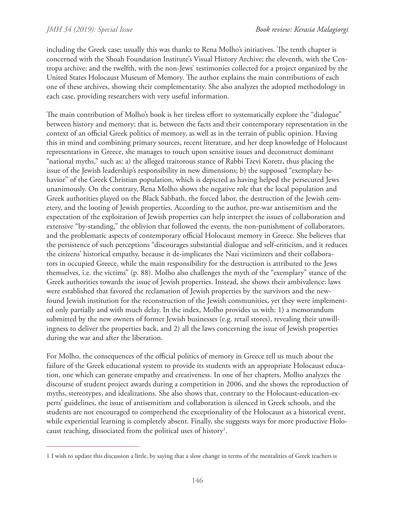including the Greek case; usually this was thanks to Rena Molho's initiatives. The tenth chapter is concerned with the Shoah Foundation Institute's Visual History Archive; the eleventh, with the Centropa archive; and the twelfth, with the non-Jews' testimonies collected for a project organized by the United States Holocaust Museum of Memory. The author explains the main contributions of each one of these archives, showing their complementarity. She also analyzes the adopted methodology in each case, providing researchers with very useful information.

The main contribution of Molho's book is her tireless effort to systematically explore the "dialogue" between history and memory; that is, between the facts and their contemporary representation in the context of an official Greek politics of memory, as well as in the terrain of public opinion. Having this in mind and combining primary sources, recent literature, and her deep knowledge of Holocaust representations in Greece, she manages to touch upon sensitive issues and deconstruct dominant "national myths," such as: a) the alleged traitorous stance of Rabbi Tzevi Koretz, thus placing the issue of the Jewish leadership's responsibility in new dimensions; b) the supposed "exemplary behavior" of the Greek Christian population, which is depicted as having helped the persecuted Jews unanimously. On the contrary, Rena Molho shows the negative role that the local population and Greek authorities played on the Black Sabbath, the forced labor, the destruction of the Jewish cemetery, and the looting of Jewish properties. According to the author, pre-war antisemitism and the expectation of the exploitation of Jewish properties can help interpret the issues of collaboration and extensive "by-standing," the oblivion that followed the events, the non-punishment of collaborators, and the problematic aspects of contemporary official Holocaust memory in Greece. She believes that the persistence of such perceptions "discourages substantial dialogue and self-criticism, and it reduces the citizens' historical empathy, because it de-implicates the Nazi victimizers and their collaborators in occupied Greece, while the main responsibility for the destruction is attributed to the Jews themselves, i.e. the victims" (p. 88). Molho also challenges the myth of the "exemplary" stance of the Greek authorities towards the issue of Jewish properties. Instead, she shows their ambivalence: laws were established that favored the reclamation of Jewish properties by the survivors and the newfound Jewish institution for the reconstruction of the Jewish communities, yet they were implemented only partially and with much delay. In the index, Molho provides us with: 1) a memorandum submitted by the new owners of former Jewish businesses (e.g. retail stores), revealing their unwillingness to deliver the properties back, and 2) all the laws concerning the issue of Jewish properties during the war and after the liberation.

For Molho, the consequences of the official politics of memory in Greece tell us much about the failure of the Greek educational system to provide its students with an appropriate Holocaust education, one which can generate empathy and creativeness. In one of her chapters, Molho analyzes the discourse of student project awards during a competition in 2006, and she shows the reproduction of myths, stereotypes, and idealizations. She also shows that, contrary to the Holocaust-education-experts' guidelines, the issue of antisemitism and collaboration is silenced in Greek schools, and the students are not encouraged to comprehend the exceptionality of the Holocaust as a historical event, while experiential learning is completely absent. Finally, she suggests ways for more productive Holocaust teaching, dissociated from the political uses of history<sup>1</sup>.

<sup>1</sup> I wish to update this discussion a little, by saying that a slow change in terms of the mentalities of Greek teachers is